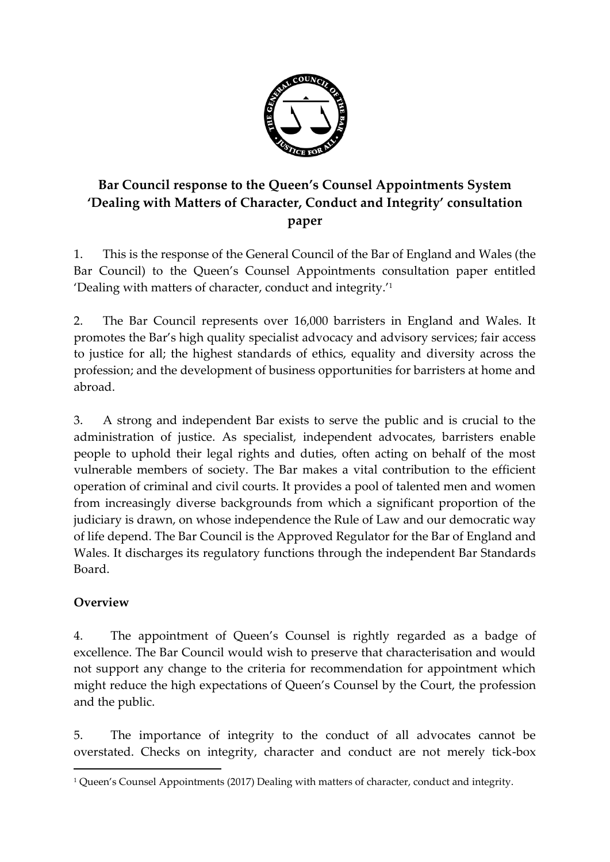

## **Bar Council response to the Queen's Counsel Appointments System 'Dealing with Matters of Character, Conduct and Integrity' consultation paper**

1. This is the response of the General Council of the Bar of England and Wales (the Bar Council) to the Queen's Counsel Appointments consultation paper entitled 'Dealing with matters of character, conduct and integrity.'<sup>1</sup>

2. The Bar Council represents over 16,000 barristers in England and Wales. It promotes the Bar's high quality specialist advocacy and advisory services; fair access to justice for all; the highest standards of ethics, equality and diversity across the profession; and the development of business opportunities for barristers at home and abroad.

3. A strong and independent Bar exists to serve the public and is crucial to the administration of justice. As specialist, independent advocates, barristers enable people to uphold their legal rights and duties, often acting on behalf of the most vulnerable members of society. The Bar makes a vital contribution to the efficient operation of criminal and civil courts. It provides a pool of talented men and women from increasingly diverse backgrounds from which a significant proportion of the judiciary is drawn, on whose independence the Rule of Law and our democratic way of life depend. The Bar Council is the Approved Regulator for the Bar of England and Wales. It discharges its regulatory functions through the independent Bar Standards Board.

## **Overview**

 $\overline{a}$ 

4. The appointment of Queen's Counsel is rightly regarded as a badge of excellence. The Bar Council would wish to preserve that characterisation and would not support any change to the criteria for recommendation for appointment which might reduce the high expectations of Queen's Counsel by the Court, the profession and the public.

5. The importance of integrity to the conduct of all advocates cannot be overstated. Checks on integrity, character and conduct are not merely tick-box

<sup>1</sup> Queen's Counsel Appointments (2017) Dealing with matters of character, conduct and integrity.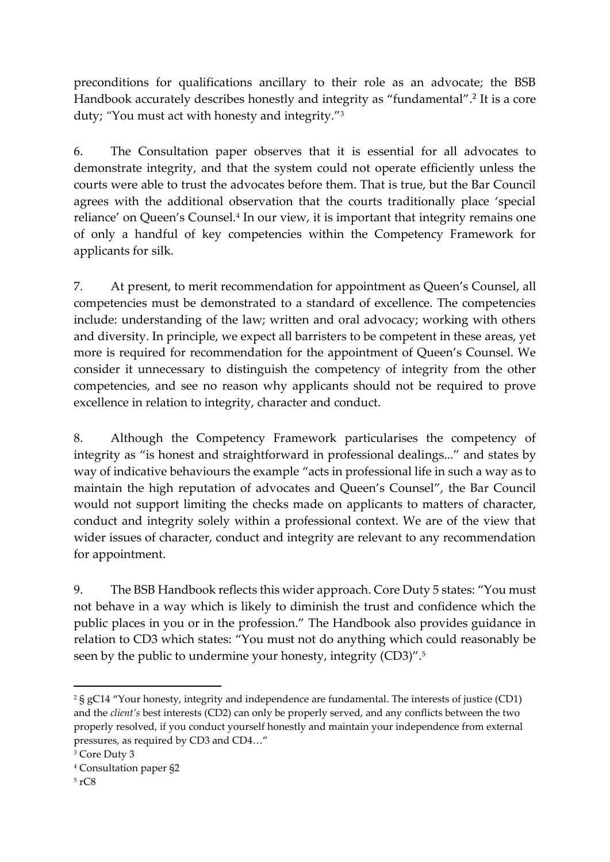preconditions for qualifications ancillary to their role as an advocate; the BSB Handbook accurately describes honestly and integrity as "fundamental". 2 It is a core duty; *"*You must act with honesty and integrity."<sup>3</sup>

6. The Consultation paper observes that it is essential for all advocates to demonstrate integrity, and that the system could not operate efficiently unless the courts were able to trust the advocates before them. That is true, but the Bar Council agrees with the additional observation that the courts traditionally place 'special reliance' on Queen's Counsel.<sup>4</sup> In our view, it is important that integrity remains one of only a handful of key competencies within the Competency Framework for applicants for silk.

7. At present, to merit recommendation for appointment as Queen's Counsel, all competencies must be demonstrated to a standard of excellence. The competencies include: understanding of the law; written and oral advocacy; working with others and diversity. In principle, we expect all barristers to be competent in these areas, yet more is required for recommendation for the appointment of Queen's Counsel. We consider it unnecessary to distinguish the competency of integrity from the other competencies, and see no reason why applicants should not be required to prove excellence in relation to integrity, character and conduct.

8. Although the Competency Framework particularises the competency of integrity as "is honest and straightforward in professional dealings..." and states by way of indicative behaviours the example "acts in professional life in such a way as to maintain the high reputation of advocates and Queen's Counsel", the Bar Council would not support limiting the checks made on applicants to matters of character, conduct and integrity solely within a professional context. We are of the view that wider issues of character, conduct and integrity are relevant to any recommendation for appointment.

9. The BSB Handbook reflects this wider approach. Core Duty 5 states: "You must not behave in a way which is likely to diminish the trust and confidence which the public places in you or in the profession." The Handbook also provides guidance in relation to CD3 which states: "You must not do anything which could reasonably be seen by the public to undermine your honesty, integrity (CD3)". 5

<sup>2</sup> § gC14 "Your honesty, integrity and independence are fundamental. The interests of justice (CD1) and the *client's* best interests (CD2) can only be properly served, and any conflicts between the two properly resolved, if you conduct yourself honestly and maintain your independence from external pressures, as required by CD3 and CD4…"

<sup>3</sup> Core Duty 3

<sup>4</sup> Consultation paper §2

<sup>5</sup> rC8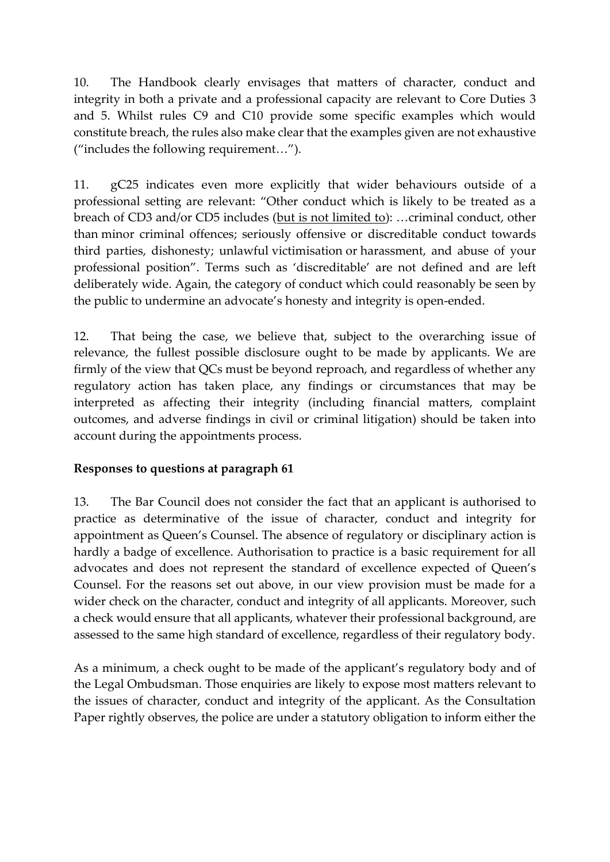10. The Handbook clearly envisages that matters of character, conduct and integrity in both a private and a professional capacity are relevant to Core Duties 3 and 5. Whilst rules C9 and C10 provide some specific examples which would constitute breach, the rules also make clear that the examples given are not exhaustive ("includes the following requirement…").

11. gC25 indicates even more explicitly that wider behaviours outside of a professional setting are relevant: "Other conduct which is likely to be treated as a breach of CD3 and/or CD5 includes (but is not limited to): …criminal conduct, other than minor criminal offences; seriously offensive or discreditable conduct towards third parties, dishonesty; unlawful victimisation or harassment, and abuse of your professional position". Terms such as 'discreditable' are not defined and are left deliberately wide. Again, the category of conduct which could reasonably be seen by the public to undermine an advocate's honesty and integrity is open-ended.

12. That being the case, we believe that, subject to the overarching issue of relevance, the fullest possible disclosure ought to be made by applicants. We are firmly of the view that QCs must be beyond reproach, and regardless of whether any regulatory action has taken place, any findings or circumstances that may be interpreted as affecting their integrity (including financial matters, complaint outcomes, and adverse findings in civil or criminal litigation) should be taken into account during the appointments process.

## **Responses to questions at paragraph 61**

13. The Bar Council does not consider the fact that an applicant is authorised to practice as determinative of the issue of character, conduct and integrity for appointment as Queen's Counsel. The absence of regulatory or disciplinary action is hardly a badge of excellence. Authorisation to practice is a basic requirement for all advocates and does not represent the standard of excellence expected of Queen's Counsel. For the reasons set out above, in our view provision must be made for a wider check on the character, conduct and integrity of all applicants. Moreover, such a check would ensure that all applicants, whatever their professional background, are assessed to the same high standard of excellence, regardless of their regulatory body.

As a minimum, a check ought to be made of the applicant's regulatory body and of the Legal Ombudsman. Those enquiries are likely to expose most matters relevant to the issues of character, conduct and integrity of the applicant. As the Consultation Paper rightly observes, the police are under a statutory obligation to inform either the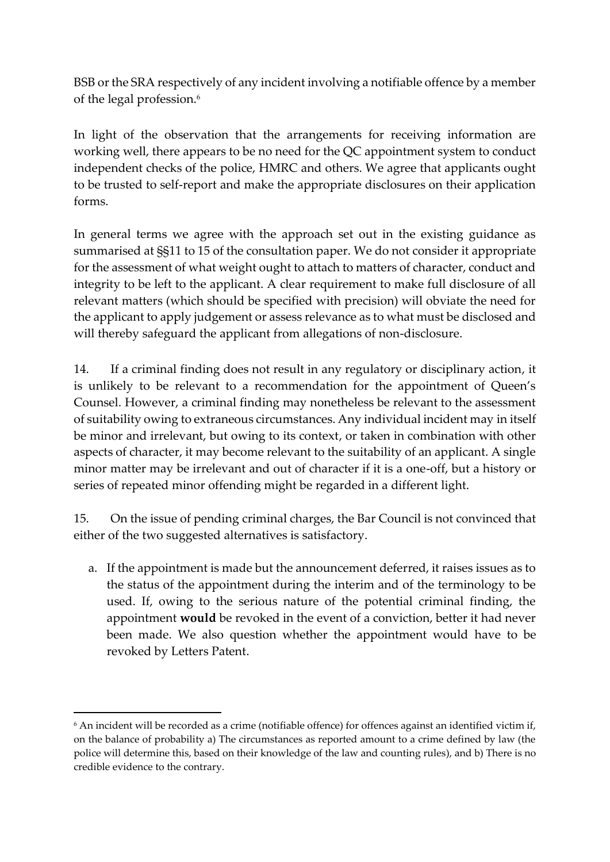BSB or the SRA respectively of any incident involving a notifiable offence by a member of the legal profession.<sup>6</sup>

In light of the observation that the arrangements for receiving information are working well, there appears to be no need for the QC appointment system to conduct independent checks of the police, HMRC and others. We agree that applicants ought to be trusted to self-report and make the appropriate disclosures on their application forms.

In general terms we agree with the approach set out in the existing guidance as summarised at §§11 to 15 of the consultation paper. We do not consider it appropriate for the assessment of what weight ought to attach to matters of character, conduct and integrity to be left to the applicant. A clear requirement to make full disclosure of all relevant matters (which should be specified with precision) will obviate the need for the applicant to apply judgement or assess relevance as to what must be disclosed and will thereby safeguard the applicant from allegations of non-disclosure.

14. If a criminal finding does not result in any regulatory or disciplinary action, it is unlikely to be relevant to a recommendation for the appointment of Queen's Counsel. However, a criminal finding may nonetheless be relevant to the assessment of suitability owing to extraneous circumstances. Any individual incident may in itself be minor and irrelevant, but owing to its context, or taken in combination with other aspects of character, it may become relevant to the suitability of an applicant. A single minor matter may be irrelevant and out of character if it is a one-off, but a history or series of repeated minor offending might be regarded in a different light.

15. On the issue of pending criminal charges, the Bar Council is not convinced that either of the two suggested alternatives is satisfactory.

a. If the appointment is made but the announcement deferred, it raises issues as to the status of the appointment during the interim and of the terminology to be used. If, owing to the serious nature of the potential criminal finding, the appointment **would** be revoked in the event of a conviction, better it had never been made. We also question whether the appointment would have to be revoked by Letters Patent.

<sup>6</sup> An incident will be recorded as a crime (notifiable offence) for offences against an identified victim if, on the balance of probability a) The circumstances as reported amount to a crime defined by law (the police will determine this, based on their knowledge of the law and counting rules), and b) There is no credible evidence to the contrary.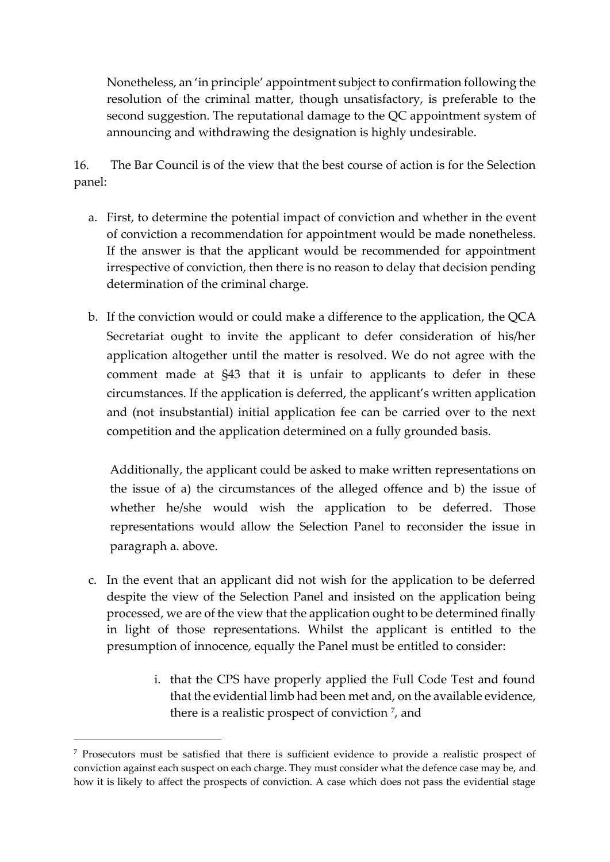Nonetheless, an 'in principle' appointment subject to confirmation following the resolution of the criminal matter, though unsatisfactory, is preferable to the second suggestion. The reputational damage to the QC appointment system of announcing and withdrawing the designation is highly undesirable.

16. The Bar Council is of the view that the best course of action is for the Selection panel:

- a. First, to determine the potential impact of conviction and whether in the event of conviction a recommendation for appointment would be made nonetheless. If the answer is that the applicant would be recommended for appointment irrespective of conviction, then there is no reason to delay that decision pending determination of the criminal charge.
- b. If the conviction would or could make a difference to the application, the QCA Secretariat ought to invite the applicant to defer consideration of his/her application altogether until the matter is resolved. We do not agree with the comment made at §43 that it is unfair to applicants to defer in these circumstances. If the application is deferred, the applicant's written application and (not insubstantial) initial application fee can be carried over to the next competition and the application determined on a fully grounded basis.

Additionally, the applicant could be asked to make written representations on the issue of a) the circumstances of the alleged offence and b) the issue of whether he/she would wish the application to be deferred. Those representations would allow the Selection Panel to reconsider the issue in paragraph a. above.

- c. In the event that an applicant did not wish for the application to be deferred despite the view of the Selection Panel and insisted on the application being processed, we are of the view that the application ought to be determined finally in light of those representations. Whilst the applicant is entitled to the presumption of innocence, equally the Panel must be entitled to consider:
	- i. that the CPS have properly applied the Full Code Test and found that the evidential limb had been met and, on the available evidence, there is a realistic prospect of conviction <sup>7</sup>, and

<sup>7</sup> Prosecutors must be satisfied that there is sufficient evidence to provide a realistic prospect of conviction against each suspect on each charge. They must consider what the defence case may be, and how it is likely to affect the prospects of conviction. A case which does not pass the evidential stage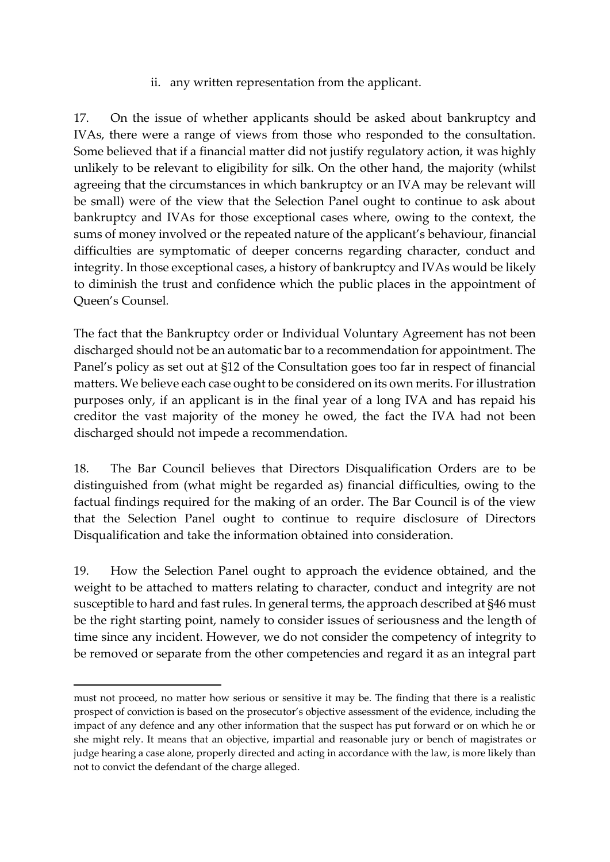ii. any written representation from the applicant.

17. On the issue of whether applicants should be asked about bankruptcy and IVAs, there were a range of views from those who responded to the consultation. Some believed that if a financial matter did not justify regulatory action, it was highly unlikely to be relevant to eligibility for silk. On the other hand, the majority (whilst agreeing that the circumstances in which bankruptcy or an IVA may be relevant will be small) were of the view that the Selection Panel ought to continue to ask about bankruptcy and IVAs for those exceptional cases where, owing to the context, the sums of money involved or the repeated nature of the applicant's behaviour, financial difficulties are symptomatic of deeper concerns regarding character, conduct and integrity. In those exceptional cases, a history of bankruptcy and IVAs would be likely to diminish the trust and confidence which the public places in the appointment of Queen's Counsel*.*

The fact that the Bankruptcy order or Individual Voluntary Agreement has not been discharged should not be an automatic bar to a recommendation for appointment. The Panel's policy as set out at §12 of the Consultation goes too far in respect of financial matters. We believe each case ought to be considered on its own merits. For illustration purposes only, if an applicant is in the final year of a long IVA and has repaid his creditor the vast majority of the money he owed, the fact the IVA had not been discharged should not impede a recommendation.

18. The Bar Council believes that Directors Disqualification Orders are to be distinguished from (what might be regarded as) financial difficulties, owing to the factual findings required for the making of an order. The Bar Council is of the view that the Selection Panel ought to continue to require disclosure of Directors Disqualification and take the information obtained into consideration.

19. How the Selection Panel ought to approach the evidence obtained, and the weight to be attached to matters relating to character, conduct and integrity are not susceptible to hard and fast rules. In general terms, the approach described at §46 must be the right starting point, namely to consider issues of seriousness and the length of time since any incident. However, we do not consider the competency of integrity to be removed or separate from the other competencies and regard it as an integral part

must not proceed, no matter how serious or sensitive it may be. The finding that there is a realistic prospect of conviction is based on the prosecutor's objective assessment of the evidence, including the impact of any defence and any other information that the suspect has put forward or on which he or she might rely. It means that an objective, impartial and reasonable jury or bench of magistrates or judge hearing a case alone, properly directed and acting in accordance with the law, is more likely than not to convict the defendant of the charge alleged.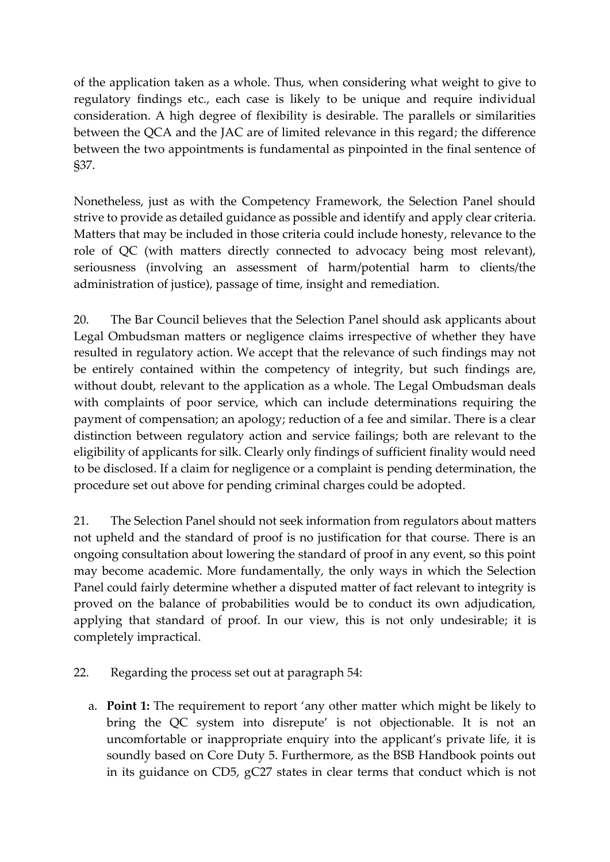of the application taken as a whole. Thus, when considering what weight to give to regulatory findings etc., each case is likely to be unique and require individual consideration. A high degree of flexibility is desirable. The parallels or similarities between the QCA and the JAC are of limited relevance in this regard; the difference between the two appointments is fundamental as pinpointed in the final sentence of §37.

Nonetheless, just as with the Competency Framework, the Selection Panel should strive to provide as detailed guidance as possible and identify and apply clear criteria. Matters that may be included in those criteria could include honesty, relevance to the role of QC (with matters directly connected to advocacy being most relevant), seriousness (involving an assessment of harm/potential harm to clients/the administration of justice), passage of time, insight and remediation.

20. The Bar Council believes that the Selection Panel should ask applicants about Legal Ombudsman matters or negligence claims irrespective of whether they have resulted in regulatory action. We accept that the relevance of such findings may not be entirely contained within the competency of integrity, but such findings are, without doubt, relevant to the application as a whole. The Legal Ombudsman deals with complaints of poor service, which can include determinations requiring the payment of compensation; an apology; reduction of a fee and similar. There is a clear distinction between regulatory action and service failings; both are relevant to the eligibility of applicants for silk. Clearly only findings of sufficient finality would need to be disclosed. If a claim for negligence or a complaint is pending determination, the procedure set out above for pending criminal charges could be adopted.

21. The Selection Panel should not seek information from regulators about matters not upheld and the standard of proof is no justification for that course. There is an ongoing consultation about lowering the standard of proof in any event, so this point may become academic. More fundamentally, the only ways in which the Selection Panel could fairly determine whether a disputed matter of fact relevant to integrity is proved on the balance of probabilities would be to conduct its own adjudication, applying that standard of proof. In our view, this is not only undesirable; it is completely impractical.

- 22. Regarding the process set out at paragraph 54:
	- a. **Point 1:** The requirement to report 'any other matter which might be likely to bring the QC system into disrepute' is not objectionable. It is not an uncomfortable or inappropriate enquiry into the applicant's private life, it is soundly based on Core Duty 5. Furthermore, as the BSB Handbook points out in its guidance on CD5, gC27 states in clear terms that conduct which is not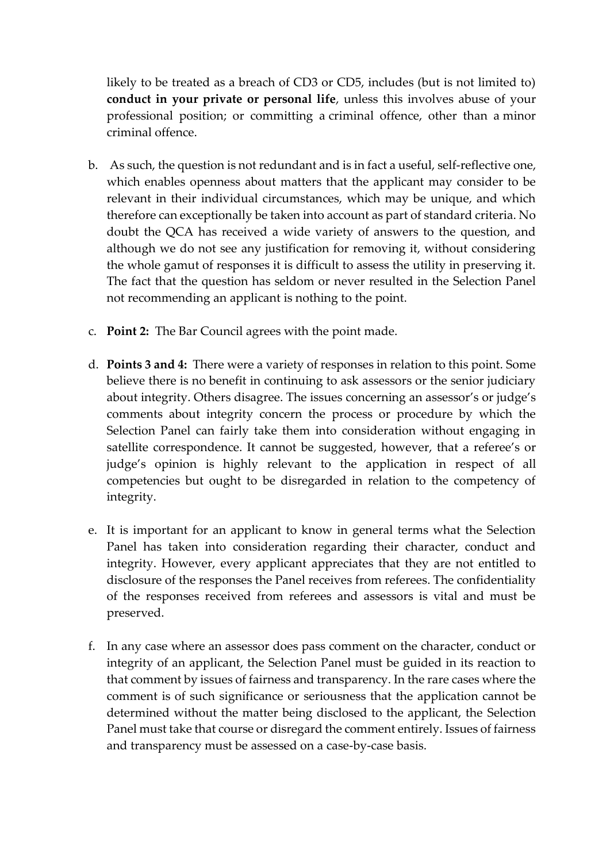likely to be treated as a breach of CD3 or CD5, includes (but is not limited to) **conduct in your private or personal life**, unless this involves abuse of your professional position; or committing a criminal offence, other than a minor criminal offence.

- b. As such, the question is not redundant and is in fact a useful, self-reflective one, which enables openness about matters that the applicant may consider to be relevant in their individual circumstances, which may be unique, and which therefore can exceptionally be taken into account as part of standard criteria. No doubt the QCA has received a wide variety of answers to the question, and although we do not see any justification for removing it, without considering the whole gamut of responses it is difficult to assess the utility in preserving it. The fact that the question has seldom or never resulted in the Selection Panel not recommending an applicant is nothing to the point.
- c. **Point 2:** The Bar Council agrees with the point made.
- d. **Points 3 and 4:** There were a variety of responses in relation to this point. Some believe there is no benefit in continuing to ask assessors or the senior judiciary about integrity. Others disagree. The issues concerning an assessor's or judge's comments about integrity concern the process or procedure by which the Selection Panel can fairly take them into consideration without engaging in satellite correspondence. It cannot be suggested, however, that a referee's or judge's opinion is highly relevant to the application in respect of all competencies but ought to be disregarded in relation to the competency of integrity.
- e. It is important for an applicant to know in general terms what the Selection Panel has taken into consideration regarding their character, conduct and integrity. However, every applicant appreciates that they are not entitled to disclosure of the responses the Panel receives from referees. The confidentiality of the responses received from referees and assessors is vital and must be preserved.
- f. In any case where an assessor does pass comment on the character, conduct or integrity of an applicant, the Selection Panel must be guided in its reaction to that comment by issues of fairness and transparency. In the rare cases where the comment is of such significance or seriousness that the application cannot be determined without the matter being disclosed to the applicant, the Selection Panel must take that course or disregard the comment entirely. Issues of fairness and transparency must be assessed on a case-by-case basis.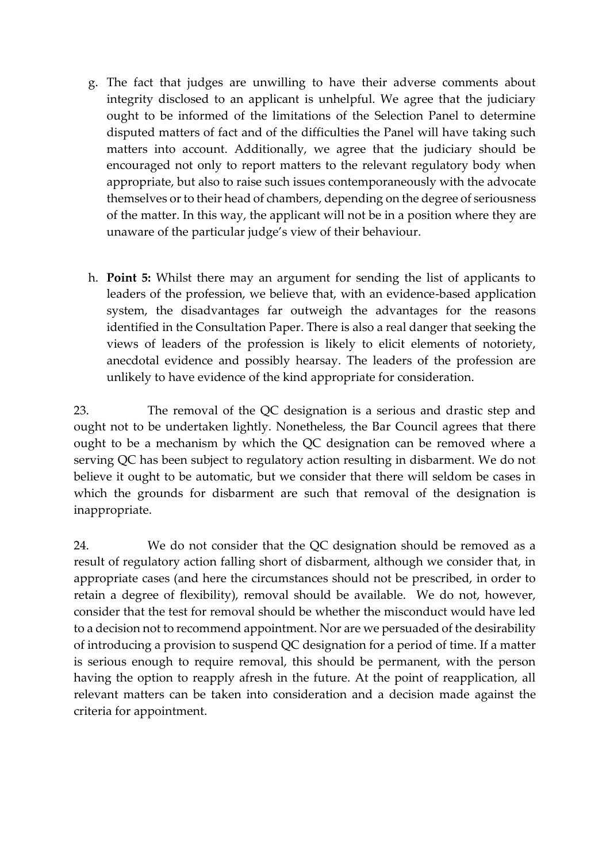- g. The fact that judges are unwilling to have their adverse comments about integrity disclosed to an applicant is unhelpful. We agree that the judiciary ought to be informed of the limitations of the Selection Panel to determine disputed matters of fact and of the difficulties the Panel will have taking such matters into account. Additionally, we agree that the judiciary should be encouraged not only to report matters to the relevant regulatory body when appropriate, but also to raise such issues contemporaneously with the advocate themselves or to their head of chambers, depending on the degree of seriousness of the matter. In this way, the applicant will not be in a position where they are unaware of the particular judge's view of their behaviour.
- h. **Point 5:** Whilst there may an argument for sending the list of applicants to leaders of the profession, we believe that, with an evidence-based application system, the disadvantages far outweigh the advantages for the reasons identified in the Consultation Paper. There is also a real danger that seeking the views of leaders of the profession is likely to elicit elements of notoriety, anecdotal evidence and possibly hearsay. The leaders of the profession are unlikely to have evidence of the kind appropriate for consideration.

23. The removal of the QC designation is a serious and drastic step and ought not to be undertaken lightly. Nonetheless, the Bar Council agrees that there ought to be a mechanism by which the QC designation can be removed where a serving QC has been subject to regulatory action resulting in disbarment. We do not believe it ought to be automatic, but we consider that there will seldom be cases in which the grounds for disbarment are such that removal of the designation is inappropriate.

24. We do not consider that the QC designation should be removed as a result of regulatory action falling short of disbarment, although we consider that, in appropriate cases (and here the circumstances should not be prescribed, in order to retain a degree of flexibility), removal should be available. We do not, however, consider that the test for removal should be whether the misconduct would have led to a decision not to recommend appointment. Nor are we persuaded of the desirability of introducing a provision to suspend QC designation for a period of time. If a matter is serious enough to require removal, this should be permanent, with the person having the option to reapply afresh in the future. At the point of reapplication, all relevant matters can be taken into consideration and a decision made against the criteria for appointment.